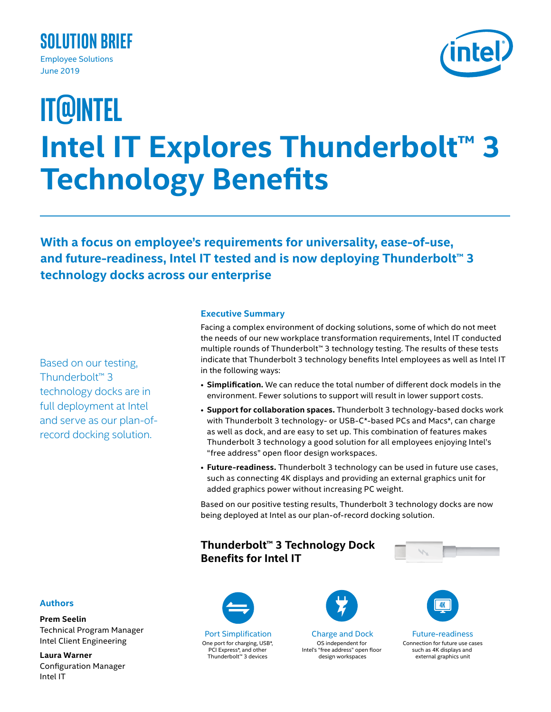



# **Intel IT Explores Thunderbolt™ 3 Technology Benefits IT@Intel**

**With a focus on employee's requirements for universality, ease-of-use, and future-readiness, Intel IT tested and is now deploying Thunderbolt™ 3 technology docks across our enterprise**

Based on our testing, Thunderbolt™ 3 technology docks are in full deployment at Intel and serve as our plan-ofrecord docking solution.

## **Executive Summary**

Facing a complex environment of docking solutions, some of which do not meet the needs of our new workplace transformation requirements, Intel IT conducted multiple rounds of Thunderbolt™ 3 technology testing. The results of these tests indicate that Thunderbolt 3 technology benefits Intel employees as well as Intel IT in the following ways:

- **Simplification.** We can reduce the total number of different dock models in the environment. Fewer solutions to support will result in lower support costs.
- **Support for collaboration spaces.** Thunderbolt 3 technology-based docks work with Thunderbolt 3 technology- or USB-C\*-based PCs and Macs\*, can charge as well as dock, and are easy to set up. This combination of features makes Thunderbolt 3 technology a good solution for all employees enjoying Intel's "free address" open floor design workspaces.
- **Future-readiness.** Thunderbolt 3 technology can be used in future use cases, such as connecting 4K displays and providing an external graphics unit for added graphics power without increasing PC weight.

Based on our positive testing results, Thunderbolt 3 technology docks are now being deployed at Intel as our plan-of-record docking solution.

## **Thunderbolt™ 3 Technology Dock Benefits for Intel IT**



## **Authors**

**Prem Seelin** Technical Program Manager Intel Client Engineering

**Laura Warner** Configuration Manager Intel IT



Port Simplification One port for charging, USB\*, PCI Express\*, and other Thunderbolt™ 3 devices



Charge and Dock OS independent for Intel's "free address" open floor design workspaces



Future-readiness Connection for future use cases such as 4K displays and external graphics unit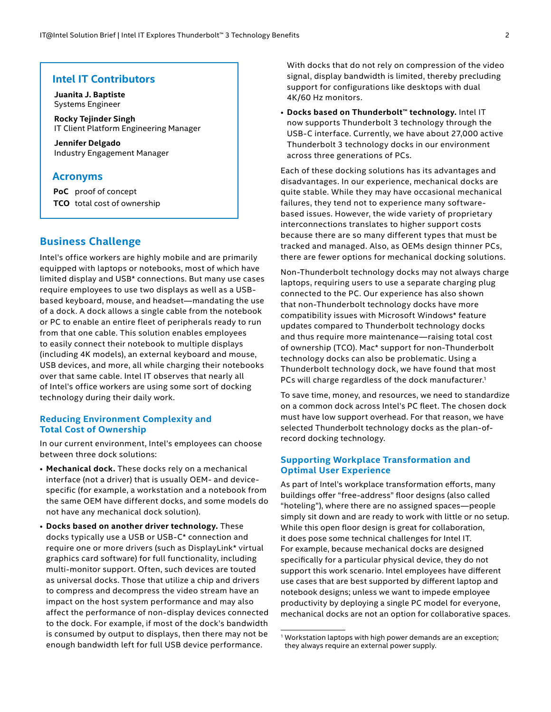## **Intel IT Contributors**

**Juanita J. Baptiste** Systems Engineer

**Rocky Tejinder Singh** IT Client Platform Engineering Manager

**Jennifer Delgado** Industry Engagement Manager

## **Acronyms**

**PoC** proof of concept **TCO** total cost of ownership

## **Business Challenge**

Intel's office workers are highly mobile and are primarily equipped with laptops or notebooks, most of which have limited display and USB\* connections. But many use cases require employees to use two displays as well as a USBbased keyboard, mouse, and headset—mandating the use of a dock. A dock allows a single cable from the notebook or PC to enable an entire fleet of peripherals ready to run from that one cable. This solution enables employees to easily connect their notebook to multiple displays (including 4K models), an external keyboard and mouse, USB devices, and more, all while charging their notebooks over that same cable. Intel IT observes that nearly all of Intel's office workers are using some sort of docking technology during their daily work.

#### **Reducing Environment Complexity and Total Cost of Ownership**

In our current environment, Intel's employees can choose between three dock solutions:

- **Mechanical dock.** These docks rely on a mechanical interface (not a driver) that is usually OEM- and devicespecific (for example, a workstation and a notebook from the same OEM have different docks, and some models do not have any mechanical dock solution).
- **Docks based on another driver technology.** These docks typically use a USB or USB-C\* connection and require one or more drivers (such as DisplayLink\* virtual graphics card software) for full functionality, including multi-monitor support. Often, such devices are touted as universal docks. Those that utilize a chip and drivers to compress and decompress the video stream have an impact on the host system performance and may also affect the performance of non-display devices connected to the dock. For example, if most of the dock's bandwidth is consumed by output to displays, then there may not be enough bandwidth left for full USB device performance.

With docks that do not rely on compression of the video signal, display bandwidth is limited, thereby precluding support for configurations like desktops with dual 4K/60 Hz monitors.

• **Docks based on Thunderbolt™ technology.** Intel IT now supports Thunderbolt 3 technology through the USB-C interface. Currently, we have about 27,000 active Thunderbolt 3 technology docks in our environment across three generations of PCs.

Each of these docking solutions has its advantages and disadvantages. In our experience, mechanical docks are quite stable. While they may have occasional mechanical failures, they tend not to experience many softwarebased issues. However, the wide variety of proprietary interconnections translates to higher support costs because there are so many different types that must be tracked and managed. Also, as OEMs design thinner PCs, there are fewer options for mechanical docking solutions.

Non-Thunderbolt technology docks may not always charge laptops, requiring users to use a separate charging plug connected to the PC. Our experience has also shown that non-Thunderbolt technology docks have more compatibility issues with Microsoft Windows\* feature updates compared to Thunderbolt technology docks and thus require more maintenance—raising total cost of ownership (TCO). Mac\* support for non-Thunderbolt technology docks can also be problematic. Using a Thunderbolt technology dock, we have found that most PCs will charge regardless of the dock manufacturer.<sup>1</sup>

To save time, money, and resources, we need to standardize on a common dock across Intel's PC fleet. The chosen dock must have low support overhead. For that reason, we have selected Thunderbolt technology docks as the plan-ofrecord docking technology.

#### **Supporting Workplace Transformation and Optimal User Experience**

As part of Intel's workplace transformation efforts, many buildings offer "free-address" floor designs (also called "hoteling"), where there are no assigned spaces—people simply sit down and are ready to work with little or no setup. While this open floor design is great for collaboration, it does pose some technical challenges for Intel IT. For example, because mechanical docks are designed specifically for a particular physical device, they do not support this work scenario. Intel employees have different use cases that are best supported by different laptop and notebook designs; unless we want to impede employee productivity by deploying a single PC model for everyone, mechanical docks are not an option for collaborative spaces.

<sup>&</sup>lt;sup>1</sup> Workstation laptops with high power demands are an exception; they always require an external power supply.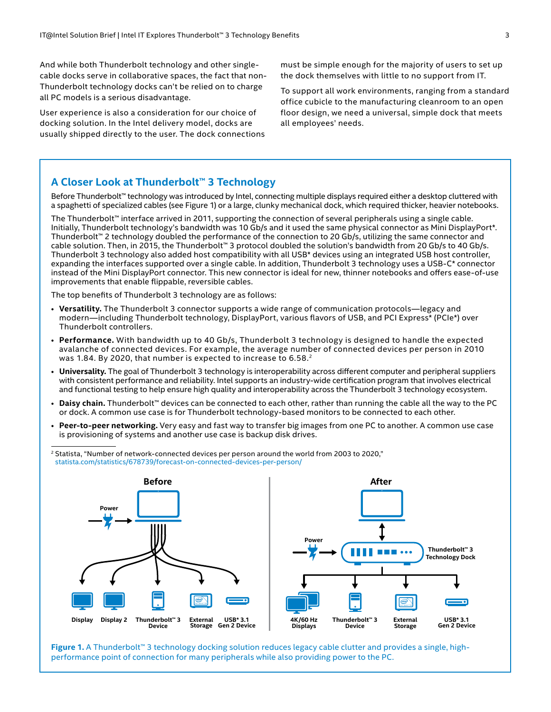And while both Thunderbolt technology and other singlecable docks serve in collaborative spaces, the fact that non-Thunderbolt technology docks can't be relied on to charge all PC models is a serious disadvantage.

User experience is also a consideration for our choice of docking solution. In the Intel delivery model, docks are usually shipped directly to the user. The dock connections must be simple enough for the majority of users to set up the dock themselves with little to no support from IT.

To support all work environments, ranging from a standard office cubicle to the manufacturing cleanroom to an open floor design, we need a universal, simple dock that meets all employees' needs.

## **A Closer Look at Thunderbolt™ 3 Technology**

Before Thunderbolt™ technology was introduced by Intel, connecting multiple displays required either a desktop cluttered with a spaghetti of specialized cables (see Figure 1) or a large, clunky mechanical dock, which required thicker, heavier notebooks.

The Thunderbolt™ interface arrived in 2011, supporting the connection of several peripherals using a single cable. Initially, Thunderbolt technology's bandwidth was 10 Gb/s and it used the same physical connector as Mini DisplayPort\*. Thunderbolt™ 2 technology doubled the performance of the connection to 20 Gb/s, utilizing the same connector and cable solution. Then, in 2015, the Thunderbolt™ 3 protocol doubled the solution's bandwidth from 20 Gb/s to 40 Gb/s. Thunderbolt 3 technology also added host compatibility with all USB\* devices using an integrated USB host controller, expanding the interfaces supported over a single cable. In addition, Thunderbolt 3 technology uses a USB-C\* connector instead of the Mini DisplayPort connector. This new connector is ideal for new, thinner notebooks and offers ease-of-use improvements that enable flippable, reversible cables.

The top benefits of Thunderbolt 3 technology are as follows:

- **Versatility.** The Thunderbolt 3 connector supports a wide range of communication protocols—legacy and modern—including Thunderbolt technology, DisplayPort, various flavors of USB, and PCI Express\* (PCIe\*) over Thunderbolt controllers.
- **Performance.** With bandwidth up to 40 Gb/s, Thunderbolt 3 technology is designed to handle the expected avalanche of connected devices. For example, the average number of connected devices per person in 2010 was 1.84. By 2020, that number is expected to increase to 6.58.<sup>2</sup>
- **Universality.** The goal of Thunderbolt 3 technology is interoperability across different computer and peripheral suppliers with consistent performance and reliability. Intel supports an industry-wide certification program that involves electrical and functional testing to help ensure high quality and interoperability across the Thunderbolt 3 technology ecosystem.
- **Daisy chain.** Thunderbolt™ devices can be connected to each other, rather than running the cable all the way to the PC or dock. A common use case is for Thunderbolt technology-based monitors to be connected to each other.
- **Peer-to-peer networking.** Very easy and fast way to transfer big images from one PC to another. A common use case is provisioning of systems and another use case is backup disk drives.

<sup>2</sup> Statista, "Number of network-connected devices per person around the world from 2003 to 2020," [statista.com/statistics/678739/forecast-on-connected-devices-per-person/](https://www.statista.com/statistics/678739/forecast-on-connected-devices-per-person/)



**Figure 1.** A Thunderbolt™ 3 technology docking solution reduces legacy cable clutter and provides a single, highperformance point of connection for many peripherals while also providing power to the PC.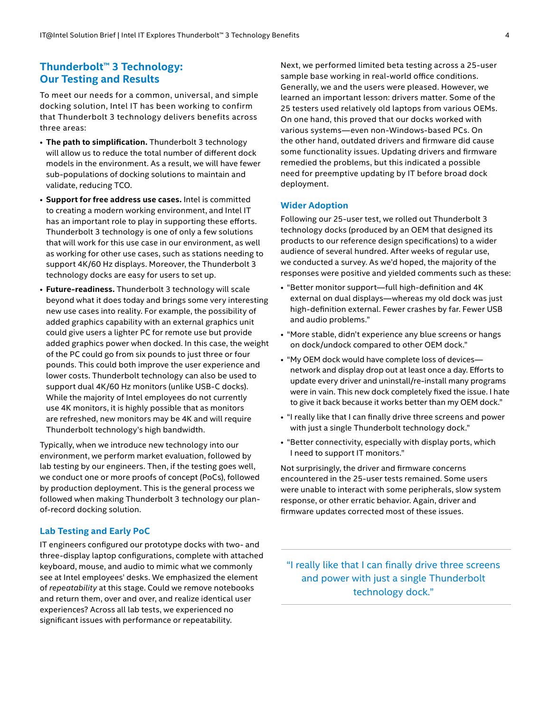## **Thunderbolt™ 3 Technology: Our Testing and Results**

To meet our needs for a common, universal, and simple docking solution, Intel IT has been working to confirm that Thunderbolt 3 technology delivers benefits across three areas:

- **The path to simplification.** Thunderbolt 3 technology will allow us to reduce the total number of different dock models in the environment. As a result, we will have fewer sub-populations of docking solutions to maintain and validate, reducing TCO.
- **Support for free address use cases.** Intel is committed to creating a modern working environment, and Intel IT has an important role to play in supporting these efforts. Thunderbolt 3 technology is one of only a few solutions that will work for this use case in our environment, as well as working for other use cases, such as stations needing to support 4K/60 Hz displays. Moreover, the Thunderbolt 3 technology docks are easy for users to set up.
- **Future-readiness.** Thunderbolt 3 technology will scale beyond what it does today and brings some very interesting new use cases into reality. For example, the possibility of added graphics capability with an external graphics unit could give users a lighter PC for remote use but provide added graphics power when docked. In this case, the weight of the PC could go from six pounds to just three or four pounds. This could both improve the user experience and lower costs. Thunderbolt technology can also be used to support dual 4K/60 Hz monitors (unlike USB-C docks). While the majority of Intel employees do not currently use 4K monitors, it is highly possible that as monitors are refreshed, new monitors may be 4K and will require Thunderbolt technology's high bandwidth.

Typically, when we introduce new technology into our environment, we perform market evaluation, followed by lab testing by our engineers. Then, if the testing goes well, we conduct one or more proofs of concept (PoCs), followed by production deployment. This is the general process we followed when making Thunderbolt 3 technology our planof-record docking solution.

#### **Lab Testing and Early PoC**

IT engineers configured our prototype docks with two- and three-display laptop configurations, complete with attached keyboard, mouse, and audio to mimic what we commonly see at Intel employees' desks. We emphasized the element of *repeatability* at this stage. Could we remove notebooks and return them, over and over, and realize identical user experiences? Across all lab tests, we experienced no significant issues with performance or repeatability.

Next, we performed limited beta testing across a 25-user sample base working in real-world office conditions. Generally, we and the users were pleased. However, we learned an important lesson: drivers matter. Some of the 25 testers used relatively old laptops from various OEMs. On one hand, this proved that our docks worked with various systems—even non-Windows-based PCs. On the other hand, outdated drivers and firmware did cause some functionality issues. Updating drivers and firmware remedied the problems, but this indicated a possible need for preemptive updating by IT before broad dock deployment.

#### **Wider Adoption**

Following our 25-user test, we rolled out Thunderbolt 3 technology docks (produced by an OEM that designed its products to our reference design specifications) to a wider audience of several hundred. After weeks of regular use, we conducted a survey. As we'd hoped, the majority of the responses were positive and yielded comments such as these:

- "Better monitor support—full high-definition and 4K external on dual displays—whereas my old dock was just high-definition external. Fewer crashes by far. Fewer USB and audio problems."
- "More stable, didn't experience any blue screens or hangs on dock/undock compared to other OEM dock."
- "My OEM dock would have complete loss of devices network and display drop out at least once a day. Efforts to update every driver and uninstall/re-install many programs were in vain. This new dock completely fixed the issue. I hate to give it back because it works better than my OEM dock."
- "I really like that I can finally drive three screens and power with just a single Thunderbolt technology dock."
- "Better connectivity, especially with display ports, which I need to support IT monitors."

Not surprisingly, the driver and firmware concerns encountered in the 25-user tests remained. Some users were unable to interact with some peripherals, slow system response, or other erratic behavior. Again, driver and firmware updates corrected most of these issues.

"I really like that I can finally drive three screens and power with just a single Thunderbolt technology dock."